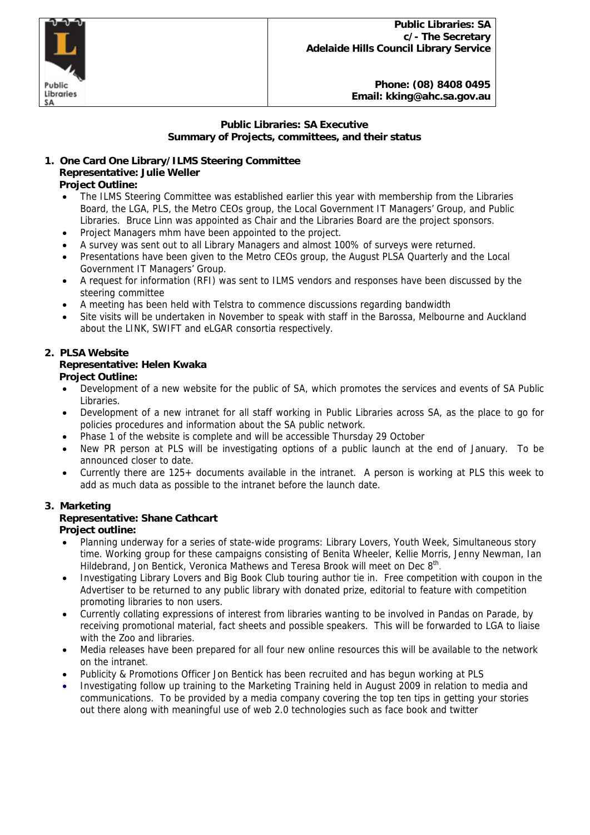Public Libraries SA

# **Public Libraries: SA Executive Summary of Projects, committees, and their status**

#### **1. One Card One Library/ILMS Steering Committee Representative: Julie Weller Project Outline:**

- The ILMS Steering Committee was established earlier this year with membership from the Libraries Board, the LGA, PLS, the Metro CEOs group, the Local Government IT Managers' Group, and Public Libraries. Bruce Linn was appointed as Chair and the Libraries Board are the project sponsors.
- Project Managers mhm have been appointed to the project.
- A survey was sent out to all Library Managers and almost 100% of surveys were returned.
- Presentations have been given to the Metro CEOs group, the August PLSA Quarterly and the Local Government IT Managers' Group.
- A request for information (RFI) was sent to ILMS vendors and responses have been discussed by the steering committee
- A meeting has been held with Telstra to commence discussions regarding bandwidth
- Site visits will be undertaken in November to speak with staff in the Barossa, Melbourne and Auckland about the LINK, SWIFT and eLGAR consortia respectively.

# **2. PLSA Website Representative: Helen Kwaka Project Outline:**

- Development of a new website for the public of SA, which promotes the services and events of SA Public Libraries.
- Development of a new intranet for all staff working in Public Libraries across SA, as the place to go for policies procedures and information about the SA public network.
- Phase 1 of the website is complete and will be accessible Thursday 29 October
- New PR person at PLS will be investigating options of a public launch at the end of January. To be announced closer to date.
- Currently there are 125+ documents available in the intranet. A person is working at PLS this week to add as much data as possible to the intranet before the launch date.

# **3. Marketing**

# **Representative: Shane Cathcart**

# **Project outline:**

- Planning underway for a series of state-wide programs: Library Lovers, Youth Week, Simultaneous story time. Working group for these campaigns consisting of Benita Wheeler, Kellie Morris, Jenny Newman, Ian Hildebrand, Jon Bentick, Veronica Mathews and Teresa Brook will meet on Dec 8<sup>th</sup>.
- Investigating Library Lovers and Big Book Club touring author tie in. Free competition with coupon in the Advertiser to be returned to any public library with donated prize, editorial to feature with competition promoting libraries to non users.
- Currently collating expressions of interest from libraries wanting to be involved in Pandas on Parade, by receiving promotional material, fact sheets and possible speakers. This will be forwarded to LGA to liaise with the Zoo and libraries.
- Media releases have been prepared for all four new online resources this will be available to the network on the intranet.
- Publicity & Promotions Officer Jon Bentick has been recruited and has begun working at PLS
- Investigating follow up training to the Marketing Training held in August 2009 in relation to media and communications. To be provided by a media company covering the top ten tips in getting your stories out there along with meaningful use of web 2.0 technologies such as face book and twitter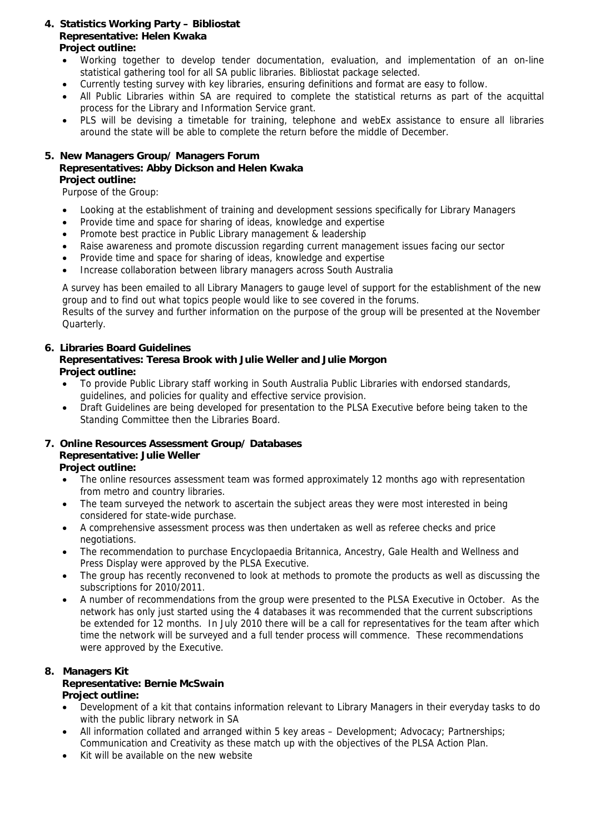# **4. Statistics Working Party – Bibliostat Representative: Helen Kwaka Project outline:**

- Working together to develop tender documentation, evaluation, and implementation of an on-line statistical gathering tool for all SA public libraries. Bibliostat package selected.
- Currently testing survey with key libraries, ensuring definitions and format are easy to follow.
- All Public Libraries within SA are required to complete the statistical returns as part of the acquittal process for the Library and Information Service grant.
- PLS will be devising a timetable for training, telephone and webEx assistance to ensure all libraries around the state will be able to complete the return before the middle of December.

# **5. New Managers Group/ Managers Forum Representatives: Abby Dickson and Helen Kwaka Project outline:**

Purpose of the Group:

- Looking at the establishment of training and development sessions specifically for Library Managers
- Provide time and space for sharing of ideas, knowledge and expertise
- Promote best practice in Public Library management & leadership
- Raise awareness and promote discussion regarding current management issues facing our sector
- Provide time and space for sharing of ideas, knowledge and expertise
- Increase collaboration between library managers across South Australia

A survey has been emailed to all Library Managers to gauge level of support for the establishment of the new group and to find out what topics people would like to see covered in the forums.

Results of the survey and further information on the purpose of the group will be presented at the November Quarterly.

#### **6. Libraries Board Guidelines Representatives: Teresa Brook with Julie Weller and Julie Morgon Project outline:**

- To provide Public Library staff working in South Australia Public Libraries with endorsed standards, guidelines, and policies for quality and effective service provision.
- Draft Guidelines are being developed for presentation to the PLSA Executive before being taken to the Standing Committee then the Libraries Board.

# **7. Online Resources Assessment Group/ Databases Representative: Julie Weller**

 **Project outline:** 

- The online resources assessment team was formed approximately 12 months ago with representation from metro and country libraries.
- The team surveyed the network to ascertain the subject areas they were most interested in being considered for state-wide purchase.
- A comprehensive assessment process was then undertaken as well as referee checks and price negotiations.
- The recommendation to purchase Encyclopaedia Britannica, Ancestry, Gale Health and Wellness and Press Display were approved by the PLSA Executive.
- The group has recently reconvened to look at methods to promote the products as well as discussing the subscriptions for 2010/2011.
- A number of recommendations from the group were presented to the PLSA Executive in October. As the network has only just started using the 4 databases it was recommended that the current subscriptions be extended for 12 months. In July 2010 there will be a call for representatives for the team after which time the network will be surveyed and a full tender process will commence. These recommendations were approved by the Executive.

#### **8. Managers Kit Representative: Bernie McSwain Project outline:**

# • Development of a kit that contains information relevant to Library Managers in their everyday tasks to do with the public library network in SA

- All information collated and arranged within 5 key areas Development; Advocacy; Partnerships; Communication and Creativity as these match up with the objectives of the PLSA Action Plan.
- Kit will be available on the new website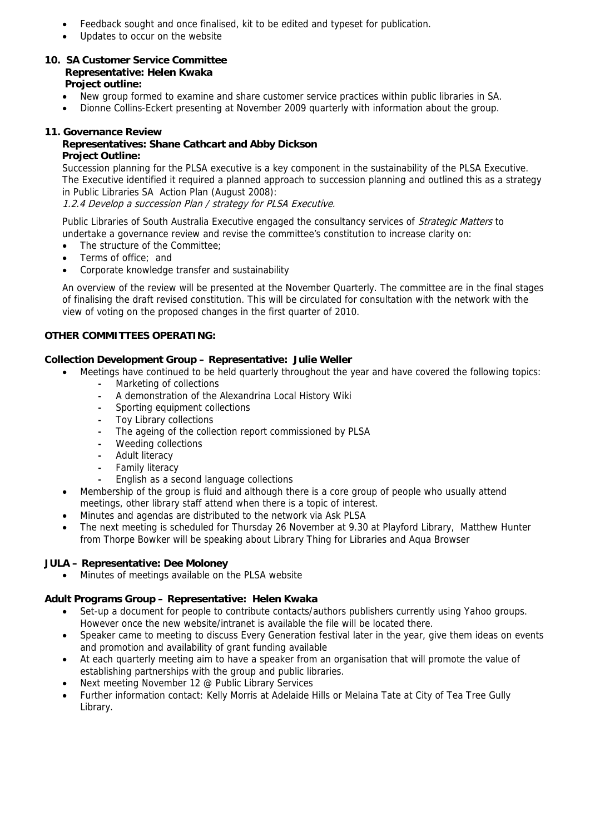- Feedback sought and once finalised, kit to be edited and typeset for publication.
- Updates to occur on the website

#### **10. SA Customer Service Committee Representative: Helen Kwaka Project outline:**

- New group formed to examine and share customer service practices within public libraries in SA.
- Dionne Collins-Eckert presenting at November 2009 quarterly with information about the group.

### **11. Governance Review**

# **Representatives: Shane Cathcart and Abby Dickson Project Outline:**

Succession planning for the PLSA executive is a key component in the sustainability of the PLSA Executive. The Executive identified it required a planned approach to succession planning and outlined this as a strategy in Public Libraries SA Action Plan (August 2008):

1.2.4 Develop a succession Plan / strategy for PLSA Executive.

Public Libraries of South Australia Executive engaged the consultancy services of Strategic Matters to undertake a governance review and revise the committee's constitution to increase clarity on:

- The structure of the Committee:
- Terms of office; and
- Corporate knowledge transfer and sustainability

 An overview of the review will be presented at the November Quarterly. The committee are in the final stages of finalising the draft revised constitution. This will be circulated for consultation with the network with the view of voting on the proposed changes in the first quarter of 2010.

# **OTHER COMMITTEES OPERATING:**

# **Collection Development Group – Representative: Julie Weller**

- Meetings have continued to be held quarterly throughout the year and have covered the following topics:
	- Marketing of collections
	- A demonstration of the Alexandrina Local History Wiki
	- Sporting equipment collections
	- Toy Library collections
	- The ageing of the collection report commissioned by PLSA
	- Weeding collections
	- Adult literacy
	- Family literacy
	- English as a second language collections
- Membership of the group is fluid and although there is a core group of people who usually attend meetings, other library staff attend when there is a topic of interest.
	- Minutes and agendas are distributed to the network via Ask PLSA
- The next meeting is scheduled for Thursday 26 November at 9.30 at Playford Library, Matthew Hunter from Thorpe Bowker will be speaking about Library Thing for Libraries and Aqua Browser

# **JULA – Representative: Dee Moloney**

• Minutes of meetings available on the PLSA website

# **Adult Programs Group – Representative: Helen Kwaka**

- Set-up a document for people to contribute contacts/authors publishers currently using Yahoo groups. However once the new website/intranet is available the file will be located there.
- Speaker came to meeting to discuss Every Generation festival later in the year, give them ideas on events and promotion and availability of grant funding available
- At each quarterly meeting aim to have a speaker from an organisation that will promote the value of establishing partnerships with the group and public libraries.
- Next meeting November 12 @ Public Library Services
- Further information contact: Kelly Morris at Adelaide Hills or Melaina Tate at City of Tea Tree Gully Library.